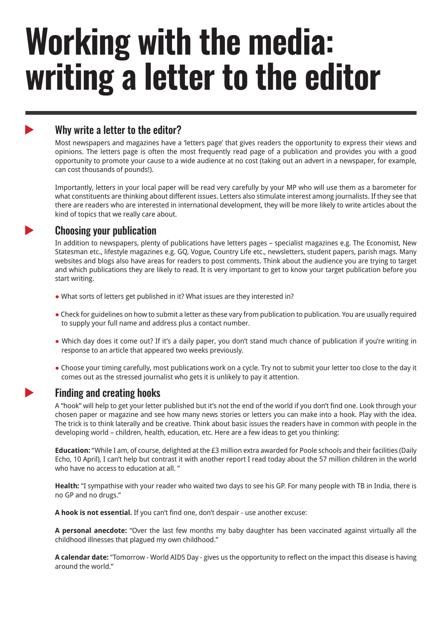# **Working with the media: writing a letter to the editor**

# Why write a letter to the editor?

Most newspapers and magazines have a 'letters page' that gives readers the opportunity to express their views and opinions. The letters page is often the most frequently read page of a publication and provides you with a good opportunity to promote your cause to a wide audience at no cost (taking out an advert in a newspaper, for example, can cost thousands of pounds!).

Importantly, letters in your local paper will be read very carefully by your MP who will use them as a barometer for what constituents are thinking about different issues. Letters also stimulate interest among journalists. If they see that there are readers who are interested in international development, they will be more likely to write articles about the kind of topics that we really care about.

# Choosing your publication

In addition to newspapers, plenty of publications have letters pages – specialist magazines e.g. The Economist, New Statesman etc., lifestyle magazines e.g. GQ, Vogue, Country Life etc., newsletters, student papers, parish mags. Many websites and blogs also have areas for readers to post comments. Think about the audience you are trying to target and which publications they are likely to read. It is very important to get to know your target publication before you start writing.

- What sorts of letters get published in it? What issues are they interested in?
- Check for guidelines on how to submit a letter as these vary from publication to publication. You are usually required to supply your full name and address plus a contact number.
- Which day does it come out? If it's a daily paper, you don't stand much chance of publication if you're writing in response to an article that appeared two weeks previously.
- Choose your timing carefully, most publications work on a cycle. Try not to submit your letter too close to the day it comes out as the stressed journalist who gets it is unlikely to pay it attention.



 $\blacktriangleright$ 

 $\blacktriangleright$ 

## Finding and creating hooks

A "hook" will help to get your letter published but it's not the end of the world if you don't find one. Look through your chosen paper or magazine and see how many news stories or letters you can make into a hook. Play with the idea. The trick is to think laterally and be creative. Think about basic issues the readers have in common with people in the developing world – children, health, education, etc. Here are a few ideas to get you thinking:

**Education:** "While I am, of course, delighted at the £3 million extra awarded for Poole schools and their facilities (Daily Echo, 10 April), I can't help but contrast it with another report I read today about the 57 million children in the world who have no access to education at all. "

**Health:** "I sympathise with your reader who waited two days to see his GP. For many people with TB in India, there is no GP and no drugs."

**A hook is not essential.** If you can't find one, don't despair - use another excuse:

**A personal anecdote:** "Over the last few months my baby daughter has been vaccinated against virtually all the childhood illnesses that plagued my own childhood."

around the world."<br> **RESP A calendar date:** "Tomorrow - World AIDS Day - gives us the opportunity to reflect on the impact this disease is having